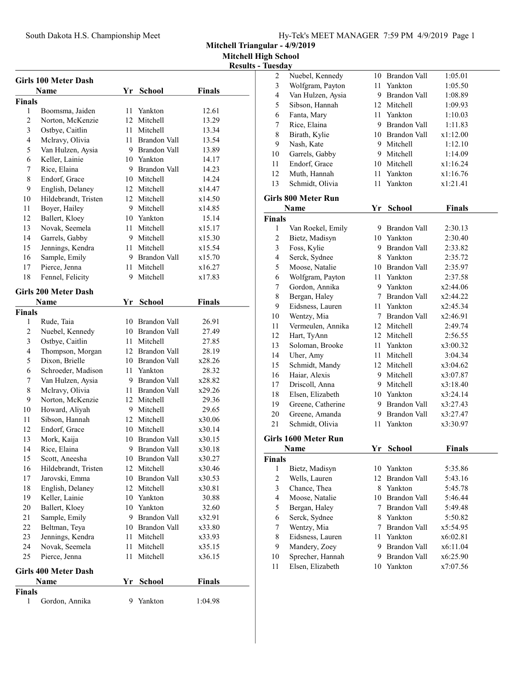Mitchell Triangular - 4/9/2019

Mitchell High School

| <b>Girls 100 Meter Dash</b> |                             |      |                 |               |  |  |  |
|-----------------------------|-----------------------------|------|-----------------|---------------|--|--|--|
|                             | Name                        | Yr   | <b>School</b>   | <b>Finals</b> |  |  |  |
| Finals                      |                             |      |                 |               |  |  |  |
| 1                           | Boomsma, Jaiden             | 11 - | Yankton         | 12.61         |  |  |  |
| $\mathfrak{2}$              | Norton, McKenzie            |      | 12 Mitchell     | 13.29         |  |  |  |
| 3                           | Ostbye, Caitlin             |      | 11 Mitchell     | 13.34         |  |  |  |
| $\overline{\mathbf{4}}$     | Mclravy, Olivia             |      | 11 Brandon Vall | 13.54         |  |  |  |
| 5                           | Van Hulzen, Aysia           |      | 9 Brandon Vall  | 13.89         |  |  |  |
| 6                           | Keller, Lainie              |      | 10 Yankton      | 14.17         |  |  |  |
| 7                           | Rice, Elaina                |      | 9 Brandon Vall  | 14.23         |  |  |  |
| 8                           | Endorf, Grace               |      | 10 Mitchell     | 14.24         |  |  |  |
| 9                           | English, Delaney            |      | 12 Mitchell     | x14.47        |  |  |  |
| 10                          | Hildebrandt, Tristen        |      | 12 Mitchell     | x14.50        |  |  |  |
| 11                          | Boyer, Hailey               |      | 9 Mitchell      | x14.85        |  |  |  |
| 12                          | Ballert, Kloey              |      | 10 Yankton      | 15.14         |  |  |  |
| 13                          | Novak, Seemela              |      | 11 Mitchell     | x15.17        |  |  |  |
| 14                          | Garrels, Gabby              |      | 9 Mitchell      | x15.30        |  |  |  |
| 15                          | Jennings, Kendra            |      | 11 Mitchell     | x15.54        |  |  |  |
| 16                          | Sample, Emily               |      | 9 Brandon Vall  | x15.70        |  |  |  |
| 17                          | Pierce, Jenna               |      | 11 Mitchell     | x16.27        |  |  |  |
| 18                          | Fennel, Felicity            | 9    | Mitchell        | x17.83        |  |  |  |
|                             | <b>Girls 200 Meter Dash</b> |      |                 |               |  |  |  |
|                             | Name                        | Yr   | <b>School</b>   | Finals        |  |  |  |
| Finals                      |                             |      |                 |               |  |  |  |
| 1                           | Rude, Taia                  | 10   | Brandon Vall    | 26.91         |  |  |  |
| $\sqrt{2}$                  | Nuebel, Kennedy             |      | 10 Brandon Vall | 27.49         |  |  |  |
| 3                           | Ostbye, Caitlin             |      | 11 Mitchell     | 27.85         |  |  |  |
| $\overline{4}$              | Thompson, Morgan            |      | 12 Brandon Vall | 28.19         |  |  |  |
| 5                           | Dixon, Brielle              |      | 10 Brandon Vall | x28.26        |  |  |  |
| 6                           | Schroeder, Madison          |      | 11 Yankton      | 28.32         |  |  |  |
| 7                           | Van Hulzen, Aysia           |      | 9 Brandon Vall  | x28.82        |  |  |  |
| $\,$ $\,$                   | Mclravy, Olivia             |      | 11 Brandon Vall | x29.26        |  |  |  |
| 9                           | Norton, McKenzie            |      | 12 Mitchell     | 29.36         |  |  |  |
| 10                          | Howard, Aliyah              |      | 9 Mitchell      | 29.65         |  |  |  |
| 11                          | Sibson, Hannah              |      | 12 Mitchell     | x30.06        |  |  |  |
| 12                          | Endorf, Grace               |      | 10 Mitchell     | x30.14        |  |  |  |
| 13                          | Mork, Kaija                 |      | 10 Brandon Vall | x30.15        |  |  |  |
| 14                          | Rice, Elaina                |      | 9 Brandon Vall  | x30.18        |  |  |  |
| 15                          | Scott, Aneesha              |      | 10 Brandon Vall | x30.27        |  |  |  |
| 16                          | Hildebrandt, Tristen        | 12   | Mitchell        | x30.46        |  |  |  |
| 17                          | Jarovski, Emma              |      | 10 Brandon Vall | x30.53        |  |  |  |
| 18                          | English, Delaney            |      | 12 Mitchell     | x30.81        |  |  |  |
| 19                          | Keller, Lainie              |      | 10 Yankton      | 30.88         |  |  |  |
| 20                          | Ballert, Kloey              |      | 10 Yankton      | 32.60         |  |  |  |
| 21                          | Sample, Emily               |      | 9 Brandon Vall  | x32.91        |  |  |  |
| 22                          | Beltman, Teya               |      | 10 Brandon Vall | x33.80        |  |  |  |
| 23                          | Jennings, Kendra            |      | 11 Mitchell     | x33.93        |  |  |  |
| 24                          | Novak, Seemela              | 11   | Mitchell        | x35.15        |  |  |  |
| 25                          | Pierce, Jenna               | 11   | Mitchell        | x36.15        |  |  |  |
|                             |                             |      |                 |               |  |  |  |
|                             | <b>Girls 400 Meter Dash</b> |      |                 |               |  |  |  |
|                             | Name                        | Yr   | <b>School</b>   | <b>Finals</b> |  |  |  |
| Finals                      |                             | 9    | Yankton         |               |  |  |  |
| 1                           | Gordon, Annika              |      |                 | 1:04.98       |  |  |  |

| <b>Results - Tuesday</b> |                         |                            |      |                 |               |  |
|--------------------------|-------------------------|----------------------------|------|-----------------|---------------|--|
|                          | $\overline{2}$          | Nuebel, Kennedy            |      | 10 Brandon Vall | 1:05.01       |  |
|                          | 3                       | Wolfgram, Payton           |      | 11 Yankton      | 1:05.50       |  |
|                          | 4                       | Van Hulzen, Aysia          |      | 9 Brandon Vall  | 1:08.89       |  |
|                          | 5                       | Sibson, Hannah             |      | 12 Mitchell     | 1:09.93       |  |
|                          | 6                       | Fanta, Mary                |      | 11 Yankton      | 1:10.03       |  |
|                          | 7                       | Rice, Elaina               |      | 9 Brandon Vall  | 1:11.83       |  |
|                          | 8                       | Birath, Kylie              |      | 10 Brandon Vall | x1:12.00      |  |
|                          | 9                       | Nash, Kate                 |      | 9 Mitchell      | 1:12.10       |  |
|                          | 10                      | Garrels, Gabby             |      | 9 Mitchell      | 1:14.09       |  |
|                          | 11                      | Endorf, Grace              |      | 10 Mitchell     | x1:16.24      |  |
|                          | 12                      | Muth, Hannah               |      | 11 Yankton      | x1:16.76      |  |
|                          | 13                      | Schmidt, Olivia            |      | 11 Yankton      | x1:21.41      |  |
|                          |                         | <b>Girls 800 Meter Run</b> |      |                 |               |  |
|                          |                         | Name                       | Yr   | <b>School</b>   | Finals        |  |
|                          | <b>Finals</b>           |                            |      |                 |               |  |
|                          | 1                       | Van Roekel, Emily          |      | 9 Brandon Vall  | 2:30.13       |  |
|                          | $\overline{c}$          | Bietz, Madisyn             |      | 10 Yankton      | 2:30.40       |  |
|                          | 3                       | Foss, Kylie                |      | 9 Brandon Vall  | 2:33.82       |  |
|                          | $\overline{\mathbf{4}}$ | Serck, Sydnee              |      | 8 Yankton       | 2:35.72       |  |
|                          | 5                       | Moose, Natalie             |      | 10 Brandon Vall | 2:35.97       |  |
|                          | 6                       | Wolfgram, Payton           |      | 11 Yankton      | 2:37.58       |  |
|                          | 7                       | Gordon, Annika             |      | 9 Yankton       | x2:44.06      |  |
|                          | $\,$ $\,$               | Bergan, Haley              |      | 7 Brandon Vall  | x2:44.22      |  |
|                          | 9                       | Eidsness, Lauren           |      | 11 Yankton      | x2:45.34      |  |
|                          | 10                      | Wentzy, Mia                |      | 7 Brandon Vall  | x2:46.91      |  |
|                          | 11                      | Vermeulen, Annika          |      | 12 Mitchell     | 2:49.74       |  |
|                          | 12                      | Hart, TyAnn                |      | 12 Mitchell     | 2:56.55       |  |
|                          | 13                      | Soloman, Brooke            |      | 11 Yankton      | x3:00.32      |  |
|                          | 14                      | Uher, Amy                  |      | 11 Mitchell     | 3:04.34       |  |
|                          | 15                      | Schmidt, Mandy             |      | 12 Mitchell     | x3:04.62      |  |
|                          | 16                      | Haiar, Alexis              |      | 9 Mitchell      | x3:07.87      |  |
|                          | 17                      | Driscoll, Anna             |      | 9 Mitchell      | x3:18.40      |  |
|                          | 18                      | Elsen, Elizabeth           |      | 10 Yankton      | x3:24.14      |  |
|                          | 19                      | Greene, Catherine          |      | 9 Brandon Vall  | x3:27.43      |  |
|                          | 20                      | Greene, Amanda             |      | 9 Brandon Vall  | x3:27.47      |  |
|                          | 21                      | Schmidt, Olivia            |      | 11 Yankton      | x3:30.97      |  |
|                          |                         | Girls 1600 Meter Run       |      |                 |               |  |
|                          |                         | Name                       | Yr   | <b>School</b>   | <b>Finals</b> |  |
|                          | <b>Finals</b>           |                            |      |                 |               |  |
|                          | 1                       | Bietz, Madisyn             | 10   | Yankton         | 5:35.86       |  |
|                          | $\overline{c}$          | Wells, Lauren              |      | 12 Brandon Vall | 5:43.16       |  |
|                          | 3                       | Chance, Thea               |      | 8 Yankton       | 5:45.78       |  |
|                          | $\overline{\mathbf{4}}$ | Moose, Natalie             |      | 10 Brandon Vall | 5:46.44       |  |
|                          | 5                       | Bergan, Haley              | 7    | Brandon Vall    | 5:49.48       |  |
|                          | 6                       | Serck, Sydnee              |      | 8 Yankton       | 5:50.82       |  |
|                          | 7                       | Wentzy, Mia                |      | 7 Brandon Vall  | x5:54.95      |  |
|                          | $\,$ $\,$               | Eidsness, Lauren           | 11 - | Yankton         | x6:02.81      |  |
|                          | 9                       | Mandery, Zoey              |      | 9 Brandon Vall  | x6:11.04      |  |
|                          | 10                      | Sprecher, Hannah           |      | 9 Brandon Vall  | x6:25.90      |  |
|                          | 11                      | Elsen, Elizabeth           |      | 10 Yankton      | x7:07.56      |  |
|                          |                         |                            |      |                 |               |  |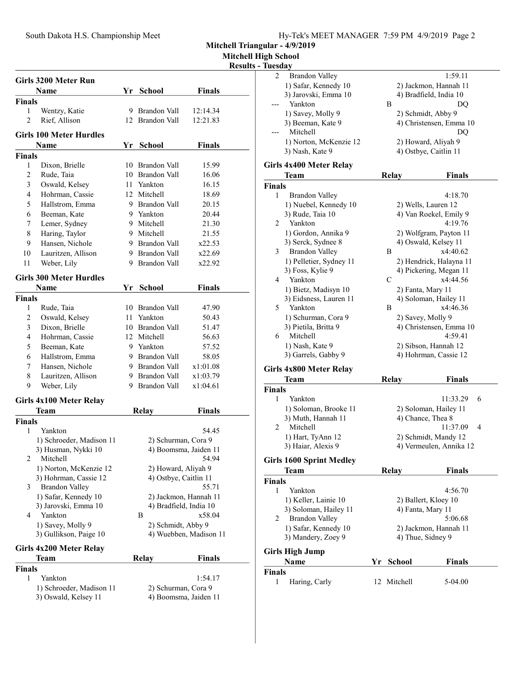Mitchell High School

Results - Tuesday

|                    | Girls 3200 Meter Run            |    |                        |                        |  |
|--------------------|---------------------------------|----|------------------------|------------------------|--|
|                    | Name                            |    | Yr School              | <b>Finals</b>          |  |
| <b>Finals</b>      |                                 |    |                        |                        |  |
| 1                  | Wentzy, Katie                   |    | 9 Brandon Vall         | 12:14.34               |  |
| $\overline{c}$     | Rief, Allison                   |    | 12 Brandon Vall        | 12:21.83               |  |
|                    | Girls 100 Meter Hurdles         |    |                        |                        |  |
|                    | Name                            |    | Yr School              | <b>Finals</b>          |  |
| <b>Finals</b>      |                                 |    |                        |                        |  |
| 1                  | Dixon, Brielle                  |    | 10 Brandon Vall        | 15.99                  |  |
| 2                  | Rude, Taia                      |    | 10 Brandon Vall        | 16.06                  |  |
| 3                  | Oswald, Kelsey                  |    | 11 Yankton             | 16.15                  |  |
| $\overline{4}$     | Hohrman, Cassie                 |    | 12 Mitchell            | 18.69                  |  |
| 5                  | Hallstrom, Emma                 |    | 9 Brandon Vall         | 20.15                  |  |
| 6                  | Beeman, Kate                    |    | 9 Yankton              | 20.44                  |  |
| 7                  | Lemer, Sydney                   |    | 9 Mitchell             | 21.30                  |  |
| 8                  | Haring, Taylor                  |    | 9 Mitchell             | 21.55                  |  |
| 9                  | Hansen, Nichole                 |    | 9 Brandon Vall         | x22.53                 |  |
| 10                 | Lauritzen, Allison              |    | 9 Brandon Vall         | x22.69                 |  |
| 11                 | Weber, Lily                     |    | 9 Brandon Vall         | x22.92                 |  |
|                    | <b>Girls 300 Meter Hurdles</b>  |    |                        |                        |  |
|                    | Name                            | Yr |                        |                        |  |
|                    |                                 |    | <b>School</b>          | <b>Finals</b>          |  |
| <b>Finals</b><br>1 |                                 |    | 10 Brandon Vall        | 47.90                  |  |
| 2                  | Rude, Taia<br>Oswald, Kelsey    |    | 11 Yankton             | 50.43                  |  |
| 3                  | Dixon, Brielle                  |    | 10 Brandon Vall        |                        |  |
| $\overline{4}$     | Hohrman, Cassie                 |    | 12 Mitchell            | 51.47<br>56.63         |  |
| 5                  |                                 |    | 9 Yankton              |                        |  |
| 6                  | Beeman, Kate<br>Hallstrom, Emma |    | 9 Brandon Vall         | 57.52<br>58.05         |  |
| 7                  | Hansen, Nichole                 |    | 9 Brandon Vall         | x1:01.08               |  |
| 8                  |                                 |    | 9 Brandon Vall         | x1:03.79               |  |
| 9                  | Lauritzen, Allison              |    | 9 Brandon Vall         | x1:04.61               |  |
|                    | Weber, Lily                     |    |                        |                        |  |
|                    | Girls 4x100 Meter Relay         |    |                        |                        |  |
|                    | Team                            |    | Relay                  | <b>Finals</b>          |  |
| <b>Finals</b>      |                                 |    |                        |                        |  |
| 1                  | Yankton                         |    |                        | 54.45                  |  |
|                    | 1) Schroeder, Madison 11        |    | 2) Schurman, Cora 9    |                        |  |
|                    | 3) Husman, Nykki 10             |    | 4) Boomsma, Jaiden 11  |                        |  |
| 2                  | Mitchell                        |    |                        | 54.94                  |  |
|                    | 1) Norton, McKenzie 12          |    | 2) Howard, Aliyah 9    |                        |  |
|                    | 3) Hohrman, Cassie 12           |    | 4) Ostbye, Caitlin 11  |                        |  |
| 3                  | <b>Brandon Valley</b>           |    |                        | 55.71                  |  |
|                    | 1) Safar, Kennedy 10            |    |                        | 2) Jackmon, Hannah 11  |  |
|                    | 3) Jarovski, Emma 10            |    | 4) Bradfield, India 10 |                        |  |
| 4                  | Yankton                         |    | В                      | x58.04                 |  |
|                    | 1) Savey, Molly 9               |    | 2) Schmidt, Abby 9     |                        |  |
|                    | 3) Gullikson, Paige 10          |    |                        | 4) Wuebben, Madison 11 |  |
|                    | Girls 4x200 Meter Relay         |    |                        |                        |  |
|                    | Team                            |    | Relay                  | <b>Finals</b>          |  |
| <b>Finals</b>      |                                 |    |                        |                        |  |
| 1                  | Yankton                         |    |                        | 1:54.17                |  |
|                    | 1) Schroeder, Madison 11        |    | 2) Schurman, Cora 9    |                        |  |
|                    | 3) Oswald, Kelsey 11            |    |                        | 4) Boomsma, Jaiden 11  |  |
|                    |                                 |    |                        |                        |  |
|                    |                                 |    |                        |                        |  |

| 2             | <b>Brandon Valley</b>                      |              | 1:59.11                                         |
|---------------|--------------------------------------------|--------------|-------------------------------------------------|
|               | 1) Safar, Kennedy 10                       |              | 2) Jackmon, Hannah 11                           |
|               | 3) Jarovski, Emma 10                       |              | 4) Bradfield, India 10                          |
|               | Yankton                                    | Β            | DQ                                              |
|               | 1) Savey, Molly 9                          |              | 2) Schmidt, Abby 9                              |
|               | 3) Beeman, Kate 9                          |              | 4) Christensen, Emma 10                         |
|               | Mitchell                                   |              | DQ                                              |
|               | 1) Norton, McKenzie 12                     |              | 2) Howard, Aliyah 9                             |
|               | 3) Nash, Kate 9                            |              | 4) Ostbye, Caitlin 11                           |
|               | <b>Girls 4x400 Meter Relay</b>             |              |                                                 |
|               | Team                                       | <b>Relay</b> | <b>Finals</b>                                   |
| <b>Finals</b> |                                            |              |                                                 |
| 1             | Brandon Valley                             |              | 4:18.70                                         |
|               | 1) Nuebel, Kennedy 10                      |              | 2) Wells, Lauren 12                             |
|               | 3) Rude, Taia 10                           |              | 4) Van Roekel, Emily 9                          |
| 2             | Yankton                                    |              | 4:19.76                                         |
|               | 1) Gordon, Annika 9                        |              | 2) Wolfgram, Payton 11                          |
|               | 3) Serck, Sydnee 8                         |              | 4) Oswald, Kelsey 11                            |
| 3             | <b>Brandon Valley</b>                      | Β            | x4:40.62                                        |
|               | 1) Pelletier, Sydney 11                    |              | 2) Hendrick, Halayna 11                         |
|               | 3) Foss, Kylie 9                           |              | 4) Pickering, Megan 11                          |
| 4             | Yankton                                    | C            | x4:44.56                                        |
|               | 1) Bietz, Madisyn 10                       |              | 2) Fanta, Mary 11                               |
|               | 3) Eidsness, Lauren 11                     |              | 4) Soloman, Hailey 11                           |
| 5             | Yankton                                    | Β            | x4:46.36                                        |
|               | 1) Schurman, Cora 9                        |              | 2) Savey, Molly 9                               |
|               | 3) Pietila, Britta 9                       |              | 4) Christensen, Emma 10                         |
| 6             | Mitchell                                   |              | 4:59.41                                         |
|               | 1) Nash, Kate 9<br>3) Garrels, Gabby 9     |              | 2) Sibson, Hannah 12<br>4) Hohrman, Cassie 12   |
|               |                                            |              |                                                 |
|               | Girls 4x800 Meter Relay                    |              |                                                 |
|               | <b>Team</b>                                | <b>Relay</b> | Finals                                          |
| <b>Finals</b> |                                            |              |                                                 |
| 1             | Yankton                                    |              | 11:33.29<br>6                                   |
|               | 1) Soloman, Brooke 11                      |              | 2) Soloman, Hailey 11                           |
| 2             | 3) Muth, Hannah 11<br>Mitchell             |              | 4) Chance, Thea 8<br>11:37.09<br>4              |
|               |                                            |              |                                                 |
|               | 1) Hart, TyAnn 12<br>3) Haiar, Alexis 9    |              | 2) Schmidt, Mandy 12<br>4) Vermeulen, Annika 12 |
|               |                                            |              |                                                 |
|               | <b>Girls 1600 Sprint Medley</b>            |              |                                                 |
|               | Team                                       | Relay        | <b>Finals</b>                                   |
| Finals        |                                            |              |                                                 |
| 1             | Yankton                                    |              | 4:56.70                                         |
|               | 1) Keller, Lainie 10                       |              | 2) Ballert, Kloey 10                            |
|               | 3) Soloman, Hailey 11                      |              | 4) Fanta, Mary 11                               |
| 2             | <b>Brandon Valley</b>                      |              | 5:06.68                                         |
|               | 1) Safar, Kennedy 10<br>3) Mandery, Zoey 9 |              | 2) Jackmon, Hannah 11                           |
|               |                                            |              | 4) Thue, Sidney 9                               |
|               | Girls High Jump                            |              |                                                 |
|               | Name                                       | Yr School    | <b>Finals</b>                                   |
| Finals        |                                            |              |                                                 |
| 1             | Haring, Carly                              | 12 Mitchell  | 5-04.00                                         |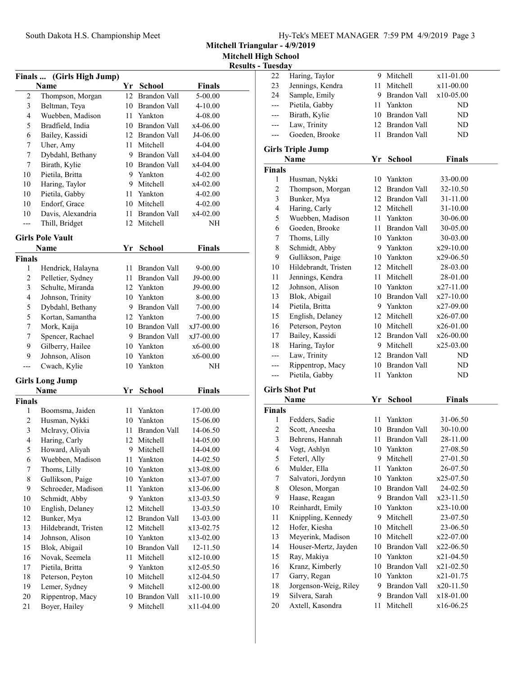Mitchell Triangular - 4/9/2019

Mitchell High School

| Finals                  | (Girls High Jump)       |      |                     |               | ілсэші |
|-------------------------|-------------------------|------|---------------------|---------------|--------|
|                         | Name                    |      | Yr School           | Finals        |        |
| $\overline{c}$          | Thompson, Morgan        | 12   | Brandon Vall        | 5-00.00       |        |
| $\mathfrak{Z}$          | Beltman, Teya           |      | 10 Brandon Vall     | 4-10.00       |        |
| 4                       | Wuebben, Madison        | 11 - | Yankton             | 4-08.00       |        |
| 5                       | Bradfield, India        |      | 10 Brandon Vall     | x4-06.00      |        |
| 6                       | Bailey, Kassidi         |      | 12 Brandon Vall     | J4-06.00      |        |
| 7                       | Uher, Amy               | 11   | Mitchell            | 4-04.00       |        |
| 7                       | Dybdahl, Bethany        |      | 9 Brandon Vall      | x4-04.00      |        |
| 7                       | Birath, Kylie           |      | 10 Brandon Vall     | x4-04.00      |        |
| 10                      | Pietila, Britta         |      | 9 Yankton           | 4-02.00       |        |
| 10                      | Haring, Taylor          |      | 9 Mitchell          | x4-02.00      |        |
| 10                      | Pietila, Gabby          |      | 11 Yankton          | 4-02.00       |        |
| 10                      | Endorf, Grace           |      | 10 Mitchell         | 4-02.00       |        |
| 10                      | Davis, Alexandria       | 11   | Brandon Vall        | x4-02.00      |        |
| ---                     | Thill, Bridget          | 12   | Mitchell            | NΗ            |        |
|                         | <b>Girls Pole Vault</b> |      |                     |               |        |
|                         | <b>Name</b>             | Yr   | <b>School</b>       | <b>Finals</b> |        |
| Finals                  |                         |      |                     |               |        |
| 1                       | Hendrick, Halayna       | 11   | Brandon Vall        | 9-00.00       |        |
| 2                       | Pelletier, Sydney       | 11   | <b>Brandon Vall</b> | J9-00.00      |        |
| $\mathfrak{Z}$          | Schulte, Miranda        |      | 12 Yankton          | J9-00.00      |        |
| $\overline{\mathbf{4}}$ | Johnson, Trinity        |      | 10 Yankton          | 8-00.00       |        |
| 5                       | Dybdahl, Bethany        |      | 9 Brandon Vall      | 7-00.00       |        |
| 5                       | Kortan, Samantha        |      | 12 Yankton          | 7-00.00       |        |
| 7                       | Mork, Kaija             |      | 10 Brandon Vall     | xJ7-00.00     |        |
| 7                       | Spencer, Rachael        |      | 9 Brandon Vall      | xJ7-00.00     |        |
| 9                       | Gilberry, Hailee        |      | 10 Yankton          | x6-00.00      |        |
| 9                       | Johnson, Alison         | 10   | Yankton             | x6-00.00      |        |
| ---                     | Cwach, Kylie            | 10   | Yankton             | NH            |        |
|                         | <b>Girls Long Jump</b>  |      |                     |               |        |
|                         | Name                    | Yr   | School              | Finals        |        |
| Finals                  |                         |      |                     |               |        |
| 1                       | Boomsma, Jaiden         | 11-  | Yankton             | 17-00.00      |        |
| 2                       | Husman, Nykki           | 10   | Yankton             | 15-06.00      |        |
| 3                       | Mclravy, Olivia         | 11   | <b>Brandon Vall</b> | 14-06.50      |        |
| 4                       | Haring, Carly           |      | 12 Mitchell         | 14-05.00      |        |
| 5                       | Howard, Aliyah          |      | 9 Mitchell          | 14-04.00      |        |
| 6                       | Wuebben, Madison        | 11   | Yankton             | 14-02.50      |        |
| $\boldsymbol{7}$        | Thoms, Lilly            | 10   | Yankton             | x13-08.00     |        |
| $\,$ $\,$               | Gullikson, Paige        | 10   | Yankton             | x13-07.00     |        |
| 9                       | Schroeder, Madison      | 11   | Yankton             | x13-06.00     |        |
| 10                      | Schmidt, Abby           | 9.   | Yankton             | x13-03.50     |        |
| 10                      | English, Delaney        | 12   | Mitchell            | 13-03.50      |        |
| 12                      | Bunker, Mya             | 12   | Brandon Vall        | 13-03.00      |        |
| 13                      | Hildebrandt, Tristen    | 12   | Mitchell            | x13-02.75     |        |
| 14                      | Johnson, Alison         | 10   | Yankton             | x13-02.00     |        |
| 15                      | Blok, Abigail           | 10   | Brandon Vall        | 12-11.50      |        |
| 16                      | Novak, Seemela          | 11   | Mitchell            | x12-10.00     |        |
| 17                      | Pietila, Britta         | 9    | Yankton             | x12-05.50     |        |
| 18                      | Peterson, Peyton        | 10   | Mitchell            | x12-04.50     |        |
| 19                      | Lemer, Sydney           | 9.   | Mitchell            | x12-00.00     |        |
| 20                      | Rippentrop, Macy        | 10   | Brandon Vall        | x11-10.00     |        |
| 21                      | Boyer, Hailey           | 9    | Mitchell            | x11-04.00     |        |

|                | <b>Results - Tuesday</b>                |    |                                |                        |
|----------------|-----------------------------------------|----|--------------------------------|------------------------|
| 22             | Haring, Taylor                          |    | 9 Mitchell                     | x11-01.00              |
| 23             | Jennings, Kendra                        |    | 11 Mitchell                    | x11-00.00              |
| 24             | Sample, Emily                           |    | 9 Brandon Vall                 | $x10-05.00$            |
|                | Pietila, Gabby                          |    | 11 Yankton                     | ND                     |
| ---            | Birath, Kylie                           |    | 10 Brandon Vall                | ND                     |
| ---            | Law, Trinity                            |    | 12 Brandon Vall                | ND                     |
| ---            | Goeden, Brooke                          |    | 11 Brandon Vall                | ND                     |
|                | <b>Girls Triple Jump</b>                |    |                                |                        |
|                | <b>Name</b>                             | Yr | <b>School</b>                  | <b>Finals</b>          |
| <b>Finals</b>  |                                         |    |                                |                        |
| 1              | Husman, Nykki                           |    | 10 Yankton                     | 33-00.00               |
| $\overline{c}$ | Thompson, Morgan                        |    | 12 Brandon Vall                | 32-10.50               |
| 3              | Bunker, Mya                             |    | 12 Brandon Vall                | 31-11.00               |
| 4              | Haring, Carly                           |    | 12 Mitchell                    | 31-10.00               |
| 5              | Wuebben, Madison                        |    | 11 Yankton                     | 30-06.00               |
| 6              | Goeden, Brooke                          |    | 11 Brandon Vall                | 30-05.00               |
| 7              | Thoms, Lilly                            |    | 10 Yankton                     | 30-03.00               |
| $\,$ $\,$      | Schmidt, Abby                           |    | 9 Yankton                      | x29-10.00              |
| 9              | Gullikson, Paige                        |    | 10 Yankton                     | x29-06.50              |
| 10             | Hildebrandt, Tristen                    |    | 12 Mitchell                    | 28-03.00               |
| 11             | Jennings, Kendra                        |    | 11 Mitchell                    | 28-01.00               |
| 12             | Johnson, Alison                         |    | 10 Yankton                     | x27-11.00              |
| 13             | Blok, Abigail                           |    | 10 Brandon Vall                | $x27-10.00$            |
| 14             | Pietila, Britta                         |    | 9 Yankton                      | x27-09.00              |
| 15             | English, Delaney                        |    | 12 Mitchell                    | x26-07.00              |
| 16             | Peterson, Peyton                        |    | 10 Mitchell                    | x26-01.00              |
| 17             | Bailey, Kassidi                         |    | 12 Brandon Vall                | $x26-00.00$            |
| 18             | Haring, Taylor                          |    | 9 Mitchell                     | x25-03.00              |
|                | Law, Trinity                            |    | 12 Brandon Vall                | ND                     |
| ---            | Rippentrop, Macy                        |    | 10 Brandon Vall                | ND                     |
| ---            | Pietila, Gabby                          | 11 | Yankton                        | ND                     |
|                | <b>Girls Shot Put</b>                   |    |                                |                        |
| <b>Finals</b>  | Name                                    | Yr | <b>School</b>                  | <b>Finals</b>          |
| 1              | Fedders, Sadie                          |    |                                |                        |
|                |                                         |    |                                |                        |
|                |                                         | 11 | Yankton                        | 31-06.50               |
| $\overline{c}$ | Scott, Aneesha                          | 10 | Brandon Vall                   | 30-10.00               |
| 3              | Behrens, Hannah                         | 11 | Brandon Vall                   | 28-11.00               |
| 4              | Vogt, Ashlyn                            | 10 | Yankton                        | 27-08.50               |
| 5              | Feterl, Ally                            | 9  | Mitchell                       | 27-01.50               |
| 6              | Mulder, Ella                            | 11 | Yankton                        | 26-07.50               |
| 7              | Salvatori, Jordynn                      |    | 10 Yankton                     | x25-07.50              |
| 8              | Oleson, Morgan                          |    | 10 Brandon Vall                | 24-02.50               |
| 9              | Haase, Reagan                           |    | 9 Brandon Vall                 | x23-11.50              |
| 10             | Reinhardt, Emily                        |    | 10 Yankton                     | x23-10.00              |
| 11             | Knippling, Kennedy                      | 9  | Mitchell                       | 23-07.50               |
| 12             | Hofer, Kiesha                           | 10 | Mitchell                       | 23-06.50               |
| 13             | Meyerink, Madison                       | 10 | Mitchell                       | x22-07.00              |
| 14             | Houser-Mertz, Jayden                    |    | 10 Brandon Vall                | $x22-06.50$            |
| 15             | Ray, Makiya                             |    | 10 Yankton                     | x21-04.50              |
| 16             | Kranz, Kimberly                         |    | 10 Brandon Vall                | x21-02.50              |
| 17             | Garry, Regan                            |    | 10 Yankton                     | x21-01.75              |
| 18<br>19       | Jorgenson-Weig, Riley<br>Silvera, Sarah | 9  | 9 Brandon Vall<br>Brandon Vall | x20-11.50<br>x18-01.00 |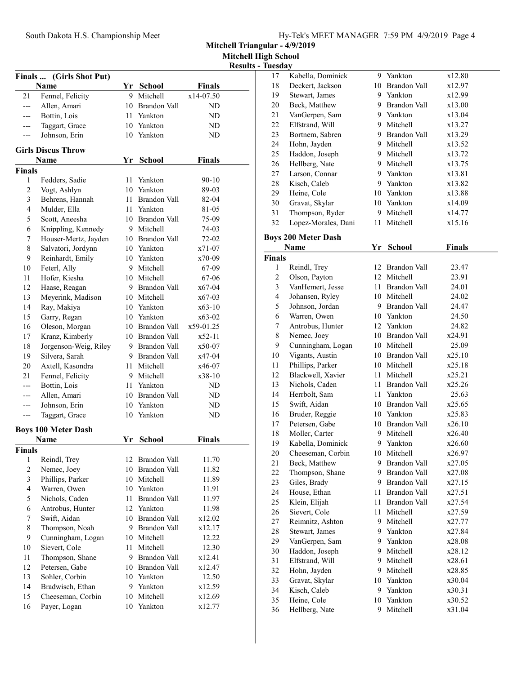Mitchell Triangular - 4/9/2019 Mitchell High School

|                         |                                  |    |                               |                            | <b>Kesul</b> |
|-------------------------|----------------------------------|----|-------------------------------|----------------------------|--------------|
| Finals                  | (Girls Shot Put)                 |    |                               |                            |              |
| 21                      | Name                             |    | Yr School<br>9 Mitchell       | <b>Finals</b><br>x14-07.50 |              |
| $---$                   | Fennel, Felicity<br>Allen, Amari |    | 10 Brandon Vall               | ND                         |              |
| $---$                   | Bottin, Lois                     |    | 11 Yankton                    | ND                         |              |
| $---$                   | Taggart, Grace                   |    | 10 Yankton                    | ND                         |              |
| ---                     | Johnson, Erin                    |    | 10 Yankton                    | ND                         |              |
|                         |                                  |    |                               |                            |              |
|                         | <b>Girls Discus Throw</b>        |    |                               |                            |              |
|                         | <b>Name</b>                      | Yr | <b>School</b>                 | <b>Finals</b>              |              |
| Finals                  |                                  |    |                               |                            |              |
| 1                       | Fedders, Sadie                   | 11 | Yankton                       | $90 - 10$                  |              |
| $\mathfrak{2}$          | Vogt, Ashlyn                     |    | 10 Yankton                    | 89-03                      |              |
| $\mathfrak{Z}$          | Behrens, Hannah                  |    | 11 Brandon Vall               | 82-04                      |              |
| $\overline{\mathbf{4}}$ | Mulder, Ella                     |    | 11 Yankton                    | 81-05                      |              |
| 5                       | Scott, Aneesha                   |    | 10 Brandon Vall               | 75-09                      |              |
| 6                       | Knippling, Kennedy               |    | 9 Mitchell                    | 74-03                      |              |
| $\tau$                  | Houser-Mertz, Jayden             |    | 10 Brandon Vall               | 72-02                      |              |
| $\,$ 8 $\,$             | Salvatori, Jordynn               |    | 10 Yankton                    | x71-07                     |              |
| 9                       | Reinhardt, Emily                 |    | 10 Yankton                    | x70-09                     |              |
| 10                      | Feterl, Ally                     |    | 9 Mitchell                    | 67-09                      |              |
| 11                      | Hofer, Kiesha                    |    | 10 Mitchell                   | 67-06                      |              |
| 12                      | Haase, Reagan                    |    | 9 Brandon Vall                | x67-04                     |              |
| 13                      | Meyerink, Madison                |    | 10 Mitchell                   | $x67-03$                   |              |
| 14                      | Ray, Makiya                      |    | 10 Yankton                    | $x63-10$                   |              |
| 15                      | Garry, Regan                     |    | 10 Yankton                    | $x63-02$                   |              |
| 16                      | Oleson, Morgan                   |    | 10 Brandon Vall               | x59-01.25                  |              |
| 17                      | Kranz, Kimberly                  |    | 10 Brandon Vall               | x52-11                     |              |
| 18                      | Jorgenson-Weig, Riley            |    | 9 Brandon Vall                | x50-07                     |              |
| 19                      | Silvera, Sarah                   |    | 9 Brandon Vall                | x47-04                     |              |
| 20                      | Axtell, Kasondra                 |    | 11 Mitchell                   | x46-07                     |              |
| 21                      | Fennel, Felicity                 |    | 9 Mitchell                    | x38-10                     |              |
| ---                     | Bottin, Lois                     |    | 11 Yankton                    | ND                         |              |
| ---                     | Allen, Amari                     |    | 10 Brandon Vall<br>10 Yankton | ND                         |              |
| ---                     | Johnson, Erin<br>Taggart, Grace  |    | 10 Yankton                    | ND<br>ND                   |              |
| ---                     |                                  |    |                               |                            |              |
|                         | <b>Boys 100 Meter Dash</b>       |    |                               |                            |              |
|                         | Name                             |    | Yr School                     | Finals                     |              |
| Finals                  |                                  |    |                               |                            |              |
| 1                       | Reindl, Trey                     |    | 12 Brandon Vall               | 11.70                      |              |
| $\overline{c}$          | Nemec, Joey                      | 10 | Brandon Vall                  | 11.82                      |              |
| 3                       | Phillips, Parker                 |    | 10 Mitchell                   | 11.89                      |              |
| $\overline{4}$          | Warren, Owen                     |    | 10 Yankton                    | 11.91                      |              |
| 5                       | Nichols, Caden                   | 11 | Brandon Vall                  | 11.97                      |              |
| 6                       | Antrobus, Hunter                 |    | 12 Yankton                    | 11.98                      |              |
| $\tau$                  | Swift, Aidan                     |    | 10 Brandon Vall               | x12.02                     |              |
| $\,$ 8 $\,$             | Thompson, Noah                   |    | 9 Brandon Vall                | x12.17                     |              |
| 9                       | Cunningham, Logan                |    | 10 Mitchell                   | 12.22                      |              |
| 10                      | Sievert, Cole                    |    | 11 Mitchell                   | 12.30                      |              |
| 11                      | Thompson, Shane                  |    | 9 Brandon Vall                | x12.41                     |              |
| 12                      | Petersen, Gabe                   |    | 10 Brandon Vall               | x12.47                     |              |
| 13                      | Sohler, Corbin                   |    | 10 Yankton                    | 12.50                      |              |
| 14                      | Bradwisch, Ethan                 |    | 9 Yankton                     | x12.59                     |              |
| 15                      | Cheeseman, Corbin                |    | 10 Mitchell                   | x12.69                     |              |
| 16                      | Payer, Logan                     | 10 | Yankton                       | x12.77                     |              |

| <b>Results - Tuesday</b> |                                 |      |                                     |                  |
|--------------------------|---------------------------------|------|-------------------------------------|------------------|
| 17                       | Kabella, Dominick               |      | 9 Yankton                           | x12.80           |
| 18                       | Deckert, Jackson                |      | 10 Brandon Vall                     | x12.97           |
| 19                       | Stewart, James                  |      | 9 Yankton                           | x12.99           |
| 20                       | Beck, Matthew                   |      | 9 Brandon Vall                      | x13.00           |
| 21                       | VanGerpen, Sam                  |      | 9 Yankton                           | x13.04           |
| 22                       | Elfstrand, Will                 |      | 9 Mitchell                          | x13.27           |
| 23                       | Bortnem, Sabren                 |      | 9 Brandon Vall                      | x13.29           |
| 24                       | Hohn, Jayden                    |      | 9 Mitchell                          | x13.52           |
| 25                       | Haddon, Joseph                  |      | 9 Mitchell                          | x13.72           |
| 26                       | Hellberg, Nate                  |      | 9 Mitchell                          | x13.75           |
| 27                       | Larson, Connar                  |      | 9 Yankton                           | x13.81           |
| 28                       | Kisch, Caleb                    |      | 9 Yankton                           | x13.82           |
| 29                       | Heine, Cole                     |      | 10 Yankton                          | x13.88           |
| 30                       | Gravat, Skylar                  |      | 10 Yankton                          | x14.09           |
| 31                       | Thompson, Ryder                 |      | 9 Mitchell                          | x14.77           |
| 32                       | Lopez-Morales, Dani             | 11 - | Mitchell                            | x15.16           |
|                          | <b>Boys 200 Meter Dash</b>      |      |                                     |                  |
|                          | Name                            | Yr   | <b>School</b>                       | <b>Finals</b>    |
| <b>Finals</b>            |                                 |      |                                     |                  |
| 1                        | Reindl, Trey                    |      | 12 Brandon Vall                     | 23.47            |
| $\overline{c}$           | Olson, Payton                   |      | 12 Mitchell                         | 23.91            |
| 3                        | VanHemert, Jesse                |      | 11 Brandon Vall                     | 24.01            |
| $\overline{\mathbf{4}}$  | Johansen, Ryley                 |      | 10 Mitchell                         | 24.02            |
| 5                        | Johnson, Jordan                 |      | 9 Brandon Vall                      | 24.47            |
| 6                        | Warren, Owen                    |      | 10 Yankton                          | 24.50            |
| 7                        | Antrobus, Hunter                |      | 12 Yankton                          | 24.82            |
| 8                        | Nemec, Joey                     |      | 10 Brandon Vall                     | x24.91           |
| 9                        | Cunningham, Logan               |      | 10 Mitchell                         | 25.09            |
| 10                       | Vigants, Austin                 |      | 10 Brandon Vall                     | x25.10           |
| 11                       | Phillips, Parker                |      | 10 Mitchell                         | x25.18           |
| 12                       | Blackwell, Xavier               | 11   | Mitchell                            | x25.21           |
| 13                       | Nichols, Caden                  | 11   | <b>Brandon Vall</b>                 | x25.26           |
| 14                       | Herrbolt, Sam                   | 11   | Yankton                             | 25.63            |
| 15                       | Swift, Aidan                    |      | 10 Brandon Vall                     | x25.65           |
| 16                       | Bruder, Reggie                  |      | 10 Yankton                          | x25.83           |
| 17                       | Petersen, Gabe                  |      | 10 Brandon Vall                     | x26.10           |
| 18                       | Moller, Carter                  |      | 9 Mitchell                          | x26.40           |
| 19                       | Kabella, Dominick               |      | 9 Yankton                           | x26.60           |
| 20                       | Cheeseman, Corbin               | 10   | Mitchell                            | x26.97           |
| 21                       | Beck, Matthew                   | 9.   | Brandon Vall<br><b>Brandon Vall</b> | x27.05<br>x27.08 |
| 22<br>23                 | Thompson, Shane<br>Giles, Brady | 9    | 9 Brandon Vall                      | x27.15           |
| 24                       | House, Ethan                    | 11   | Brandon Vall                        | x27.51           |
| 25                       | Klein, Elijah                   | 11   | Brandon Vall                        | x27.54           |
| 26                       | Sievert, Cole                   | 11   | Mitchell                            | x27.59           |
| 27                       | Reimnitz, Ashton                | 9    | Mitchell                            | x27.77           |
| 28                       | Stewart, James                  | 9    | Yankton                             | x27.84           |
| 29                       | VanGerpen, Sam                  | 9    | Yankton                             | x28.08           |
| 30                       | Haddon, Joseph                  | 9    | Mitchell                            | x28.12           |
| 31                       | Elfstrand, Will                 | 9    | Mitchell                            | x28.61           |
| 32                       | Hohn, Jayden                    | 9    | Mitchell                            | x28.85           |
| 33                       | Gravat, Skylar                  | 10   | Yankton                             | x30.04           |
| 34                       | Kisch, Caleb                    | 9    | Yankton                             | x30.31           |
| 35                       | Heine, Cole                     | 10   | Yankton                             | x30.52           |
| 36                       | Hellberg, Nate                  | 9    | Mitchell                            | x31.04           |
|                          |                                 |      |                                     |                  |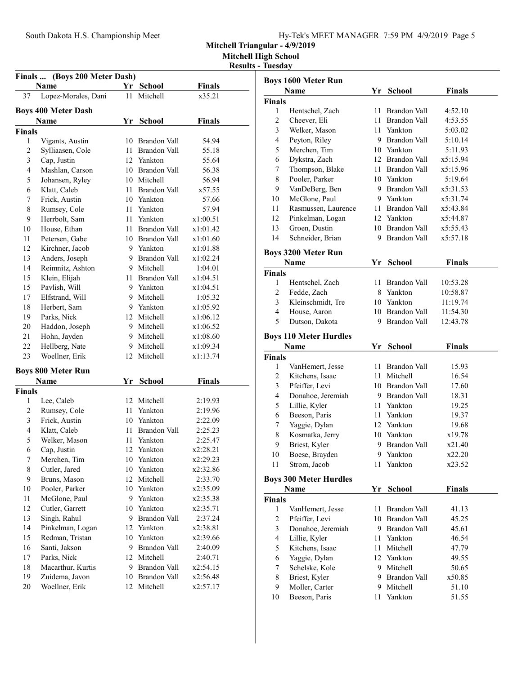Mitchell High School

Results - Tuesday

| (Boys 200 Meter Dash)<br><b>Finals</b> |                                   |    |                 |               |  |  |  |  |
|----------------------------------------|-----------------------------------|----|-----------------|---------------|--|--|--|--|
|                                        | Name                              |    | Yr School       | Finals        |  |  |  |  |
| 37                                     | Lopez-Morales, Dani               | 11 | Mitchell        | x35.21        |  |  |  |  |
|                                        | <b>Boys 400 Meter Dash</b>        |    |                 |               |  |  |  |  |
|                                        | Name                              | Yr | <b>School</b>   | Finals        |  |  |  |  |
| <b>Finals</b>                          |                                   |    |                 |               |  |  |  |  |
| 1                                      | Vigants, Austin                   |    | 10 Brandon Vall | 54.94         |  |  |  |  |
| 2                                      | Sylliaasen, Cole                  |    | 11 Brandon Vall | 55.18         |  |  |  |  |
| 3                                      | Cap, Justin                       |    | 12 Yankton      | 55.64         |  |  |  |  |
| 4                                      | Mashlan, Carson                   |    | 10 Brandon Vall | 56.38         |  |  |  |  |
| 5                                      | Johansen, Ryley                   |    | 10 Mitchell     | 56.94         |  |  |  |  |
| 6                                      | Klatt, Caleb                      |    | 11 Brandon Vall | x57.55        |  |  |  |  |
| 7                                      | Frick, Austin                     |    | 10 Yankton      | 57.66         |  |  |  |  |
| 8                                      | Rumsey, Cole                      |    | 11 Yankton      | 57.94         |  |  |  |  |
| 9                                      | Herrbolt, Sam                     |    | 11 Yankton      | x1:00.51      |  |  |  |  |
| 10                                     | House, Ethan                      |    | 11 Brandon Vall | x1:01.42      |  |  |  |  |
| 11                                     | Petersen, Gabe                    |    | 10 Brandon Vall | x1:01.60      |  |  |  |  |
| 12                                     | Kirchner, Jacob                   |    | 9 Yankton       | x1:01.88      |  |  |  |  |
| 13                                     | Anders, Joseph                    |    | 9 Brandon Vall  | x1:02.24      |  |  |  |  |
| 14                                     | Reimnitz, Ashton                  |    | 9 Mitchell      | 1:04.01       |  |  |  |  |
| 15                                     | Klein, Elijah                     |    | 11 Brandon Vall | x1:04.51      |  |  |  |  |
| 15                                     | Pavlish, Will                     |    | 9 Yankton       | x1:04.51      |  |  |  |  |
| 17                                     | Elfstrand, Will                   |    | 9 Mitchell      | 1:05.32       |  |  |  |  |
| 18                                     | Herbert, Sam                      |    | 9 Yankton       | x1:05.92      |  |  |  |  |
| 19                                     | Parks, Nick                       |    | 12 Mitchell     | x1:06.12      |  |  |  |  |
| 20                                     | Haddon, Joseph                    |    | 9 Mitchell      | x1:06.52      |  |  |  |  |
| 21                                     | Hohn, Jayden                      |    | 9 Mitchell      | x1:08.60      |  |  |  |  |
| 22                                     | Hellberg, Nate                    |    | 9 Mitchell      | x1:09.34      |  |  |  |  |
| 23                                     | Woellner, Erik                    |    | 12 Mitchell     | x1:13.74      |  |  |  |  |
|                                        |                                   |    |                 |               |  |  |  |  |
|                                        | <b>Boys 800 Meter Run</b><br>Name | Yr | School          | <b>Finals</b> |  |  |  |  |
| <b>Finals</b>                          |                                   |    |                 |               |  |  |  |  |
| 1                                      | Lee, Caleb                        |    | 12 Mitchell     | 2:19.93       |  |  |  |  |
| 2                                      | Rumsey, Cole                      |    | 11 Yankton      | 2:19.96       |  |  |  |  |
| 3                                      | Frick, Austin                     |    | 10 Yankton      | 2:22.09       |  |  |  |  |
| 4                                      | Klatt, Caleb                      |    | 11 Brandon Vall | 2:25.23       |  |  |  |  |
| 5                                      | Welker, Mason                     |    | 11 Yankton      | 2:25.47       |  |  |  |  |
| 6                                      | Cap, Justin                       |    | 12 Yankton      | x2:28.21      |  |  |  |  |
| 7                                      | Merchen, Tim                      | 10 | Yankton         | x2:29.23      |  |  |  |  |
| 8                                      | Cutler, Jared                     |    | 10 Yankton      | x2:32.86      |  |  |  |  |
| 9                                      | Bruns, Mason                      |    | 12 Mitchell     | 2:33.70       |  |  |  |  |
| 10                                     | Pooler, Parker                    |    | 10 Yankton      | x2:35.09      |  |  |  |  |
| 11                                     | McGlone, Paul                     |    | 9 Yankton       | x2:35.38      |  |  |  |  |
| 12                                     | Cutler, Garrett                   |    | 10 Yankton      | x2:35.71      |  |  |  |  |
| 13                                     | Singh, Rahul                      |    | 9 Brandon Vall  | 2:37.24       |  |  |  |  |
| 14                                     | Pinkelman, Logan                  |    | 12 Yankton      | x2:38.81      |  |  |  |  |
| 15                                     | Redman, Tristan                   |    | 10 Yankton      | x2:39.66      |  |  |  |  |
| 16                                     | Santi, Jakson                     | 9. | Brandon Vall    | 2:40.09       |  |  |  |  |
| 17                                     | Parks, Nick                       | 12 | Mitchell        | 2:40.71       |  |  |  |  |
| 18                                     | Macarthur, Kurtis                 | 9. | Brandon Vall    | x2:54.15      |  |  |  |  |
| 19                                     | Zuidema, Javon                    |    | 10 Brandon Vall | x2:56.48      |  |  |  |  |
| 20                                     | Woellner, Erik                    | 12 | Mitchell        | x2:57.17      |  |  |  |  |
|                                        |                                   |    |                 |               |  |  |  |  |

|                | <b>Boys 1600 Meter Run</b>    |      |                 |               |
|----------------|-------------------------------|------|-----------------|---------------|
|                | Name                          | Yr   | <b>School</b>   | <b>Finals</b> |
| <b>Finals</b>  |                               |      |                 |               |
| 1              | Hentschel, Zach               | 11   | Brandon Vall    | 4:52.10       |
| 2              | Cheever, Eli                  |      | 11 Brandon Vall | 4:53.55       |
| 3              | Welker, Mason                 |      | 11 Yankton      | 5:03.02       |
| 4              | Peyton, Riley                 |      | 9 Brandon Vall  | 5:10.14       |
| 5              | Merchen, Tim                  |      | 10 Yankton      | 5:11.93       |
| 6              | Dykstra, Zach                 |      | 12 Brandon Vall | x5:15.94      |
| 7              | Thompson, Blake               |      | 11 Brandon Vall | x5:15.96      |
| 8              | Pooler, Parker                |      | 10 Yankton      | 5:19.64       |
| 9              | VanDeBerg, Ben                |      | 9 Brandon Vall  | x5:31.53      |
| 10             | McGlone, Paul                 |      | 9 Yankton       | x5:31.74      |
| 11             | Rasmussen, Laurence           |      | 11 Brandon Vall | x5:43.84      |
| 12             | Pinkelman, Logan              |      | 12 Yankton      | x5:44.87      |
| 13             | Groen, Dustin                 |      | 10 Brandon Vall | x5:55.43      |
| 14             | Schneider, Brian              |      | 9 Brandon Vall  | x5:57.18      |
|                | <b>Boys 3200 Meter Run</b>    |      |                 |               |
|                | Name                          | Yr   | <b>School</b>   | <b>Finals</b> |
| <b>Finals</b>  |                               |      |                 |               |
| 1              | Hentschel, Zach               | 11   | Brandon Vall    | 10:53.28      |
| 2              | Fedde, Zach                   |      | 8 Yankton       | 10:58.87      |
| 3              | Kleinschmidt, Tre             |      | 10 Yankton      | 11:19.74      |
| 4              | House, Aaron                  |      | 10 Brandon Vall | 11:54.30      |
| 5              | Dutson, Dakota                | 9    | Brandon Vall    | 12:43.78      |
|                | <b>Boys 110 Meter Hurdles</b> |      |                 |               |
|                | Name                          | Yr   | School          | Finals        |
| <b>Finals</b>  |                               |      |                 |               |
| 1              | VanHemert, Jesse              |      | 11 Brandon Vall | 15.93         |
| 2              | Kitchens, Isaac               |      | 11 Mitchell     | 16.54         |
| 3              | Pfeiffer, Levi                |      | 10 Brandon Vall | 17.60         |
| 4              | Donahoe, Jeremiah             |      | 9 Brandon Vall  | 18.31         |
| 5              | Lillie, Kyler                 |      | 11 Yankton      | 19.25         |
| 6              | Beeson, Paris                 | 11 - | Yankton         | 19.37         |
| 7              | Yaggie, Dylan                 |      | 12 Yankton      | 19.68         |
| 8              | Kosmatka, Jerry               |      | 10 Yankton      | x19.78        |
| 9              | Briest, Kyler                 |      | 9 Brandon Vall  | x21.40        |
| 10             | Boese, Brayden                | 9    | Yankton         | x22.20        |
| 11             | Strom, Jacob                  |      | 11 Yankton      | x23.52        |
|                |                               |      |                 |               |
|                | <b>Boys 300 Meter Hurdles</b> |      |                 |               |
|                | Name                          | Yr   | School          | Finals        |
| <b>Finals</b>  |                               |      |                 |               |
| 1              | VanHemert, Jesse              | 11   | Brandon Vall    | 41.13         |
| $\mathfrak{2}$ | Pfeiffer, Levi                |      | 10 Brandon Vall | 45.25         |
| 3              | Donahoe, Jeremiah             |      | 9 Brandon Vall  | 45.61         |
| 4              | Lillie, Kyler                 |      | 11 Yankton      | 46.54         |
| 5              | Kitchens, Isaac               | 11 - | Mitchell        | 47.79         |
| 6              | Yaggie, Dylan                 |      | 12 Yankton      | 49.55         |
| 7              | Schelske, Kole                |      | 9 Mitchell      | 50.65         |
| 8              | Briest, Kyler                 |      | 9 Brandon Vall  | x50.85        |
| 9              | Moller, Carter                |      | 9 Mitchell      | 51.10         |
| 10             | Beeson, Paris                 | 11   | Yankton         | 51.55         |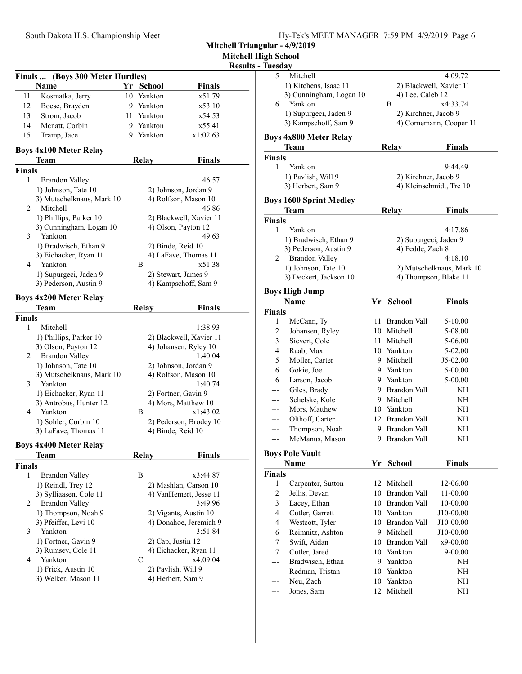| South Dakota H.S. Championship Meet | Hy-Tek's MEET MANAGER 7:59 PM 4/9/2019 Page 6 |  |  |
|-------------------------------------|-----------------------------------------------|--|--|
|                                     |                                               |  |  |

Mitchell High School  $\overline{\textbf{s}}$  - Tues

|                |                                                 |         |                          |                         | <b>Results</b> |
|----------------|-------------------------------------------------|---------|--------------------------|-------------------------|----------------|
|                | Finals  (Boys 300 Meter Hurdles)<br><b>Name</b> |         |                          |                         |                |
|                |                                                 | Yr      | <b>School</b><br>Yankton | <b>Finals</b><br>x51.79 |                |
| 11             | Kosmatka, Jerry                                 | 10<br>9 |                          | x53.10                  |                |
| 12<br>13       | Boese, Brayden<br>Strom, Jacob                  |         | Yankton                  |                         |                |
|                |                                                 |         | 11 Yankton               | x54.53                  |                |
| 14             | Mcnatt, Corbin                                  |         | 9 Yankton                | x55.41                  |                |
| 15             | Tramp, Jace                                     | 9.      | Yankton                  | x1:02.63                |                |
|                | <b>Boys 4x100 Meter Relay</b>                   |         |                          |                         |                |
|                | <b>Team</b>                                     |         | <b>Relay</b>             | Finals                  |                |
| Finals         |                                                 |         |                          |                         |                |
| 1              | Brandon Valley                                  |         |                          | 46.57                   |                |
|                | 1) Johnson, Tate 10                             |         |                          | 2) Johnson, Jordan 9    |                |
| 2              | 3) Mutschelknaus, Mark 10<br>Mitchell           |         | 4) Rolfson, Mason 10     |                         |                |
|                | 1) Phillips, Parker 10                          |         |                          | 2) Blackwell, Xavier 11 |                |
|                | 3) Cunningham, Logan 10                         |         |                          | 4) Olson, Payton 12     |                |
| 3              | Yankton                                         |         |                          | 49.63                   |                |
|                | 1) Bradwisch, Ethan 9                           |         |                          | 2) Binde, Reid 10       |                |
|                | 3) Eichacker, Ryan 11                           |         |                          | 4) LaFave, Thomas 11    |                |
| 4              | Yankton                                         |         | B                        | x51.38                  |                |
|                | 1) Supurgeci, Jaden 9                           |         |                          | 2) Stewart, James 9     |                |
|                | 3) Pederson, Austin 9                           |         |                          | 4) Kampschoff, Sam 9    |                |
|                |                                                 |         |                          |                         |                |
|                | <b>Boys 4x200 Meter Relay</b><br>Team           |         |                          | Finals                  |                |
| <b>Finals</b>  |                                                 |         | <b>Relay</b>             |                         |                |
| 1              | Mitchell                                        |         |                          | 1:38.93                 |                |
|                |                                                 |         |                          |                         |                |
|                | 1) Phillips, Parker 10                          |         |                          | 2) Blackwell, Xavier 11 |                |
|                | 3) Olson, Payton 12                             |         |                          | 4) Johansen, Ryley 10   |                |
| $\overline{c}$ | <b>Brandon Valley</b>                           |         |                          | 1:40.04                 |                |
|                | 1) Johnson, Tate 10                             |         |                          | 2) Johnson, Jordan 9    |                |
|                | 3) Mutschelknaus, Mark 10                       |         |                          | 4) Rolfson, Mason 10    |                |
| 3              | Yankton                                         |         |                          | 1:40.74                 |                |
|                | 1) Eichacker, Ryan 11                           |         |                          | 2) Fortner, Gavin 9     |                |
|                | 3) Antrobus, Hunter 12                          |         |                          | 4) Mors, Matthew 10     |                |
| 4              | Yankton                                         |         | Β                        | x1:43.02                |                |
|                | 1) Sohler, Corbin 10                            |         |                          | 2) Pederson, Brodey 10  |                |
|                | 3) LaFave, Thomas 11                            |         |                          | 4) Binde, Reid 10       |                |
|                | <b>Boys 4x400 Meter Relay</b>                   |         |                          |                         |                |
|                | Team                                            |         | <b>Relay</b>             | Finals                  |                |
| <b>Finals</b>  |                                                 |         |                          |                         |                |
| 1              | <b>Brandon Valley</b>                           |         | В                        | x3:44.87                |                |
|                | 1) Reindl, Trey 12                              |         |                          | 2) Mashlan, Carson 10   |                |
|                | 3) Sylliaasen, Cole 11                          |         |                          | 4) VanHemert, Jesse 11  |                |
| 2              | <b>Brandon Valley</b>                           |         |                          | 3:49.96                 |                |
|                | 1) Thompson, Noah 9                             |         |                          | 2) Vigants, Austin 10   |                |
|                | 3) Pfeiffer, Levi 10                            |         |                          | 4) Donahoe, Jeremiah 9  |                |
| 3              | Yankton                                         |         |                          | 3:51.84                 |                |
|                | 1) Fortner, Gavin 9                             |         |                          | 2) Cap, Justin 12       |                |
|                | 3) Rumsey, Cole 11                              |         |                          | 4) Eichacker, Ryan 11   |                |
| 4              | Yankton                                         |         | C                        | x4:09.04                |                |
|                | 1) Frick, Austin 10                             |         |                          | 2) Pavlish, Will 9      |                |
|                | 3) Welker, Mason 11                             |         |                          | 4) Herbert, Sam 9       |                |
|                |                                                 |         |                          |                         |                |
|                |                                                 |         |                          |                         |                |

|                | Tuesday                        |                         |                       |                           |
|----------------|--------------------------------|-------------------------|-----------------------|---------------------------|
| 5              | Mitchell                       |                         |                       | 4:09.72                   |
|                | 1) Kitchens, Isaac 11          | 2) Blackwell, Xavier 11 |                       |                           |
|                | 3) Cunningham, Logan 10        |                         | 4) Lee, Caleb 12      |                           |
| 6              | Yankton                        |                         | B                     | x4:33.74                  |
|                | 1) Supurgeci, Jaden 9          |                         | 2) Kirchner, Jacob 9  |                           |
|                | 3) Kampschoff, Sam 9           |                         |                       | 4) Cornemann, Cooper 11   |
|                |                                |                         |                       |                           |
|                | <b>Boys 4x800 Meter Relay</b>  |                         |                       |                           |
|                | Team                           |                         | <b>Relay</b>          | <b>Finals</b>             |
| <b>Finals</b>  |                                |                         |                       |                           |
| 1              | Yankton                        |                         |                       | 9:44.49                   |
|                | 1) Pavlish, Will 9             |                         | 2) Kirchner, Jacob 9  |                           |
|                | 3) Herbert, Sam 9              |                         |                       | 4) Kleinschmidt, Tre 10   |
|                |                                |                         |                       |                           |
|                | <b>Boys 1600 Sprint Medley</b> |                         |                       |                           |
|                | Team                           |                         | <b>Relay</b>          | <b>Finals</b>             |
| <b>Finals</b>  |                                |                         |                       |                           |
| 1              | Yankton                        |                         |                       | 4:17.86                   |
|                | 1) Bradwisch, Ethan 9          |                         | 2) Supurgeci, Jaden 9 |                           |
|                | 3) Pederson, Austin 9          |                         | 4) Fedde, Zach 8      |                           |
| 2              | <b>Brandon Valley</b>          |                         |                       | 4:18.10                   |
|                | 1) Johnson, Tate 10            |                         |                       | 2) Mutschelknaus, Mark 10 |
|                | 3) Deckert, Jackson 10         |                         |                       | 4) Thompson, Blake 11     |
|                |                                |                         |                       |                           |
|                | <b>Boys High Jump</b>          |                         |                       |                           |
|                | Name                           | Yr                      | <b>School</b>         | <b>Finals</b>             |
| <b>Finals</b>  |                                |                         |                       |                           |
| 1              | McCann, Ty                     | 11                      | <b>Brandon Vall</b>   | 5-10.00                   |
| 2              | Johansen, Ryley                |                         | 10 Mitchell           | 5-08.00                   |
| 3              | Sievert, Cole                  |                         | 11 Mitchell           | 5-06.00                   |
| 4              | Raab, Max                      |                         | 10 Yankton            | 5-02.00                   |
| 5              | Moller, Carter                 |                         | 9 Mitchell            | J5-02.00                  |
| 6              | Gokie, Joe                     |                         | 9 Yankton             | 5-00.00                   |
| 6              | Larson, Jacob                  |                         | 9 Yankton             | 5-00.00                   |
|                | Giles, Brady                   |                         | 9 Brandon Vall        | NH                        |
|                | Schelske, Kole                 |                         | 9 Mitchell            | NH                        |
|                | Mors, Matthew                  |                         | 10 Yankton            | NH                        |
|                | Olthoff, Carter                |                         | 12 Brandon Vall       | NH                        |
|                |                                |                         | 9 Brandon Vall        |                           |
|                | Thompson, Noah                 |                         |                       | NΗ                        |
| ---            | McManus, Mason                 |                         | 9 Brandon Vall        | NΗ                        |
|                | <b>Boys Pole Vault</b>         |                         |                       |                           |
|                | Name                           | Yr                      | <b>School</b>         | <b>Finals</b>             |
| <b>Finals</b>  |                                |                         |                       |                           |
| 1              | Carpenter, Sutton              |                         | 12 Mitchell           | 12-06.00                  |
| $\overline{c}$ | Jellis, Devan                  |                         | 10 Brandon Vall       | 11-00.00                  |
| 3              | Lacey, Ethan                   |                         | 10 Brandon Vall       | 10-00.00                  |
|                |                                |                         | 10 Yankton            | J10-00.00                 |
|                |                                |                         |                       |                           |
| 4              | Cutler, Garrett                |                         |                       |                           |
| 4              | Westcott, Tyler                |                         | 10 Brandon Vall       | J10-00.00                 |
| 6              | Reimnitz, Ashton               |                         | 9 Mitchell            | J10-00.00                 |
| 7              | Swift, Aidan                   |                         | 10 Brandon Vall       | x9-00.00                  |
| 7              | Cutler, Jared                  |                         | 10 Yankton            | $9 - 00.00$               |
|                | Bradwisch, Ethan               |                         | 9 Yankton             | NH                        |
|                | Redman, Tristan                |                         | 10 Yankton            | NH                        |
|                | Neu, Zach                      |                         | 10 Yankton            | NH                        |
|                | Jones, Sam                     | 12                      | Mitchell              | NH                        |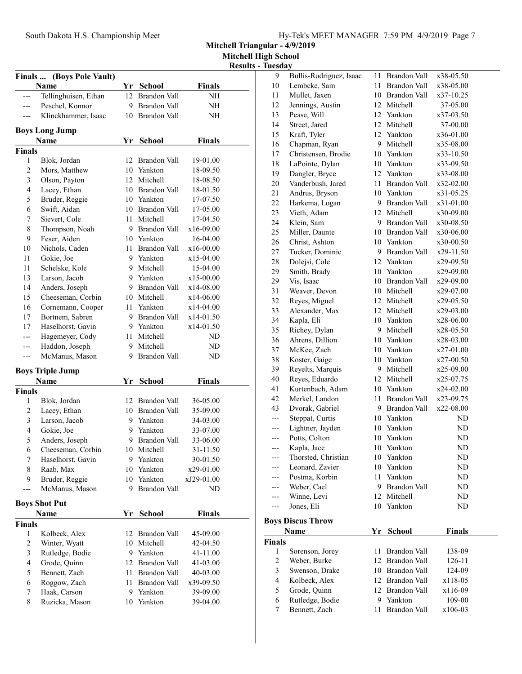gh School  $\bar{\Gamma}$ uesday

|                |                           |    |                 |               | <b>Mitchell Hight</b><br>Results - 7 |
|----------------|---------------------------|----|-----------------|---------------|--------------------------------------|
|                | Finals  (Boys Pole Vault) |    |                 |               |                                      |
|                | Name                      |    | Yr School       | <b>Finals</b> |                                      |
|                | Tellinghuisen, Ethan      |    | 12 Brandon Vall | NH            |                                      |
| ---            | Peschel, Konnor           |    | 9 Brandon Vall  | NН            |                                      |
|                | Klinckhammer, Isaac       |    | 10 Brandon Vall | NΗ            |                                      |
|                | <b>Boys Long Jump</b>     |    |                 |               |                                      |
|                | Name                      | Yr | <b>School</b>   | Finals        |                                      |
| Finals         |                           |    |                 |               |                                      |
| 1              | Blok, Jordan              |    | 12 Brandon Vall | 19-01.00      |                                      |
| $\mathfrak{2}$ | Mors, Matthew             |    | 10 Yankton      | 18-09.50      |                                      |
| 3              | Olson, Payton             |    | 12 Mitchell     | 18-08.50      |                                      |
| 4              | Lacey, Ethan              |    | 10 Brandon Vall | 18-01.50      |                                      |
| 5              | Bruder, Reggie            |    | 10 Yankton      | 17-07.50      |                                      |
| 6              | Swift, Aidan              |    | 10 Brandon Vall | 17-05.00      |                                      |
| 7              | Sievert, Cole             |    | 11 Mitchell     | 17-04.50      |                                      |
| $\,$ $\,$      | Thompson, Noah            |    | 9 Brandon Vall  | x16-09.00     |                                      |
| 9              | Feser, Aiden              |    | 10 Yankton      | 16-04.00      |                                      |
| 10             | Nichols, Caden            |    | 11 Brandon Vall | x16-00.00     |                                      |
| 11             | Gokie, Joe                |    | 9 Yankton       | x15-04.00     |                                      |
| 11             | Schelske, Kole            |    | 9 Mitchell      | 15-04.00      |                                      |
| 13             | Larson, Jacob             |    | 9 Yankton       | x15-00.00     |                                      |
| 14             | Anders, Joseph            |    | 9 Brandon Vall  | x14-08.00     |                                      |
| 15             | Cheeseman, Corbin         |    | 10 Mitchell     | x14-06.00     |                                      |
| 16             | Cornemann, Cooper         |    | 11 Yankton      | x14-04.00     |                                      |
| 17             | Bortnem, Sabren           |    | 9 Brandon Vall  | x14-01.50     |                                      |
| 17             | Haselhorst, Gavin         |    | 9 Yankton       | x14-01.50     |                                      |
| ---            | Hagemeyer, Cody           |    | 11 Mitchell     | ND            |                                      |
| ---            | Haddon, Joseph            |    | 9 Mitchell      | ND            |                                      |
| ---            | McManus, Mason            | 9. | Brandon Vall    | ND.           |                                      |
|                | <b>Boys Triple Jump</b>   |    |                 |               |                                      |
|                | Name                      | Yr | School          | Finals        |                                      |
| Finals         |                           |    |                 |               |                                      |
| 1              | Blok, Jordan              |    | 12 Brandon Vall | 36-05.00      |                                      |
| $\sqrt{2}$     | Lacey, Ethan              |    | 10 Brandon Vall | 35-09.00      |                                      |
| 3              | Larson, Jacob             |    | 9 Yankton       | 34-03.00      |                                      |
| 4              | Gokie, Joe                |    | 9 Yankton       | 33-07.00      |                                      |
| 5              | Anders, Joseph            | 9  | Brandon Vall    | 33-06.00      |                                      |
| 6              | Cheeseman, Corbin         | 10 | Mitchell        | 31-11.50      |                                      |
| 7              | Haselhorst, Gavin         | 9. | Yankton         | 30-01.50      |                                      |
| $\,$ $\,$      | Raab, Max                 | 10 | Yankton         | x29-01.00     |                                      |
| 9              | Bruder, Reggie            | 10 | Yankton         | xJ29-01.00    |                                      |
| --             | McManus, Mason            | 9  | Brandon Vall    | ND            |                                      |
|                | <b>Boys Shot Put</b>      |    |                 |               |                                      |
|                | Name                      | Yr | <b>School</b>   | Finals        |                                      |
| Finals         |                           |    |                 |               |                                      |
| 1              | Kolbeck, Alex             | 12 | Brandon Vall    | 45-09.00      |                                      |
| $\sqrt{2}$     | Winter, Wyatt             | 10 | Mitchell        | 42-04.50      |                                      |
| 3              | Rutledge, Bodie           | 9  | Yankton         | 41-11.00      |                                      |

4 Grode, Quinn 12 Brandon Vall 41-03.00<br>5 Bennett, Zach 11 Brandon Vall 40-03.00

6 x39-09.50 Roggow, Zach 11 Brandon Vall 7 Haak, Carson 9 Yankton 39-09.00<br>8 Ruzicka, Mason 10 Yankton 39-04.00

8 Ruzicka, Mason

11 Brandon Vall 40-03.00

| 9                       | Bullis-Rodriguez, Isaac          | 11 | Brandon Vall                     | x38-05.50         |  |
|-------------------------|----------------------------------|----|----------------------------------|-------------------|--|
| $10\,$                  | Lembcke, Sam                     | 11 | Brandon Vall                     | x38-05.00         |  |
| 11                      | Mullet, Jaxen                    |    | 10 Brandon Vall                  | x37-10.25         |  |
| 12                      | Jennings, Austin                 |    | 12 Mitchell                      | 37-05.00          |  |
| 13                      | Pease, Will                      |    | 12 Yankton                       | x37-03.50         |  |
| 14                      | Street, Jared                    | 12 | Mitchell                         | 37-00.00          |  |
| 15                      | Kraft, Tyler                     |    | 12 Yankton                       | x36-01.00         |  |
| 16                      | Chapman, Ryan                    |    | 9 Mitchell                       | x35-08.00         |  |
| 17                      | Christensen, Brodie              |    | 10 Yankton                       | x33-10.50         |  |
| 18                      | LaPointe, Dylan                  |    | 10 Yankton                       | x33-09.50         |  |
| 19                      | Dangler, Bryce                   |    | 12 Yankton                       | x33-08.00         |  |
| 20                      | Vanderbush, Jared                |    | 11 Brandon Vall                  | x32-02.00         |  |
| 21                      | Andrus, Bryson                   |    | 10 Yankton                       | x31-05.25         |  |
| 22                      | Harkema, Logan                   |    | 9 Brandon Vall                   | x31-01.00         |  |
| 23                      | Vieth, Adam                      |    | 12 Mitchell                      | x30-09.00         |  |
| 24                      | Klein, Sam                       |    | 9 Brandon Vall                   | x30-08.50         |  |
| 25                      | Miller, Daunte                   |    | 10 Brandon Vall                  | x30-06.00         |  |
| 26                      | Christ, Ashton                   |    | 10 Yankton                       | x30-00.50         |  |
| 27                      | Tucker, Dominic                  |    | 9 Brandon Vall                   | x29-11.50         |  |
| 28                      | Dolejsi, Cole                    |    | 12 Yankton                       | x29-09.50         |  |
| 29                      | Smith, Brady                     |    | 10 Yankton                       | x29-09.00         |  |
| 29                      | Vis, Isaac                       |    | 10 Brandon Vall                  | x29-09.00         |  |
| 31                      | Weaver, Devon                    |    | 10 Mitchell                      | x29-07.00         |  |
| 32                      | Reyes, Miguel                    |    | 12 Mitchell                      | x29-05.50         |  |
| 33                      | Alexander, Max                   |    | 12 Mitchell                      | x29-03.00         |  |
| 34                      | Kapla, Eli                       |    | 10 Yankton                       | x28-06.00         |  |
| 35                      | Richey, Dylan                    | 9. | Mitchell                         | x28-05.50         |  |
| 36                      | Ahrens, Dillion                  |    | 10 Yankton                       | x28-03.00         |  |
| 37                      | McKee, Zach                      |    | 10 Yankton                       | x27-01.00         |  |
| 38                      | Koster, Gaige                    |    | 10 Yankton                       | x27-00.50         |  |
| 39                      | Reyelts, Marquis                 | 9. | Mitchell                         | x25-09.00         |  |
| 40                      | Reyes, Eduardo                   |    | 12 Mitchell                      | x25-07.75         |  |
| 41                      | Kurtenbach, Adam                 |    | 10 Yankton                       | x24-02.00         |  |
| 42                      | Merkel, Landon                   |    | 11 Brandon Vall                  | x23-09.75         |  |
| 43                      | Dvorak, Gabriel                  |    | 9 Brandon Vall                   | x22-08.00         |  |
| ---                     | Steppat, Curtis                  |    | 10 Yankton                       | ND                |  |
| $---$                   | Lightner, Jayden                 |    | 10 Yankton                       | ND                |  |
| ---                     | Potts, Colton                    |    | 10 Yankton                       | ND                |  |
| ---                     | Kapla, Jace                      | 10 | Yankton                          | ND                |  |
|                         | Thorsted, Christian              |    | 10 Yankton                       | ND                |  |
|                         | Leonard, Zavier                  |    | 10 Yankton                       | ND                |  |
| <u></u>                 | Postma, Korbin                   |    | 11 Yankton                       | ND                |  |
|                         | Weber, Cael                      |    | 9 Brandon Vall                   | ND                |  |
| ---                     | Winne, Levi                      |    | 12 Mitchell                      | ND                |  |
| ---                     | Jones, Eli                       |    | 10 Yankton                       | ND                |  |
|                         | <b>Boys Discus Throw</b>         |    |                                  |                   |  |
|                         | <b>Name</b>                      | Yr | School                           | <b>Finals</b>     |  |
| Finals                  |                                  |    |                                  |                   |  |
| 1                       | Sorenson, Jorey                  | 11 | <b>Brandon Vall</b>              | 138-09            |  |
| $\mathfrak{2}$          | Weber, Burke                     |    | 12 Brandon Vall                  | 126-11            |  |
| $\overline{\mathbf{3}}$ | Swenson, Drake                   |    | 10 Brandon Vall                  | 124-09            |  |
| $\overline{4}$          | Kolbeck, Alex                    |    | 12 Brandon Vall                  | x118-05           |  |
| 5                       | Grode, Quinn                     |    | 12 Brandon Vall                  | x116-09           |  |
|                         |                                  |    |                                  |                   |  |
|                         |                                  |    |                                  |                   |  |
| $\epsilon$<br>7         | Rutledge, Bodie<br>Bennett, Zach | 11 | 9 Yankton<br><b>Brandon Vall</b> | 109-00<br>x106-03 |  |